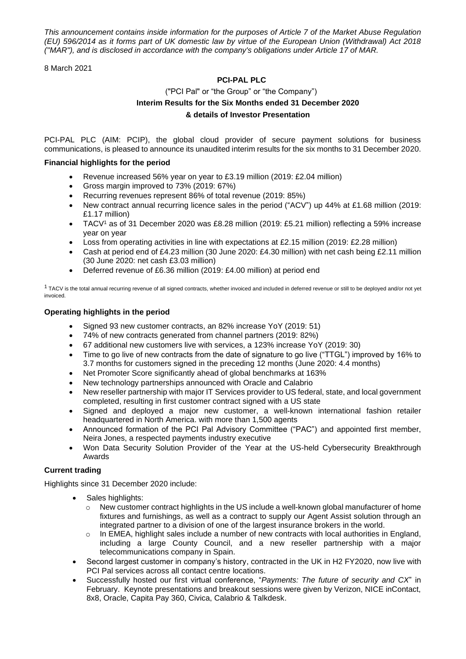*This announcement contains inside information for the purposes of Article 7 of the Market Abuse Regulation (EU) 596/2014 as it forms part of UK domestic law by virtue of the European Union (Withdrawal) Act 2018 ("MAR"), and is disclosed in accordance with the company's obligations under Article 17 of MAR.*

8 March 2021

# **PCI-PAL PLC**

# ("PCI Pal" or "the Group" or "the Company") **Interim Results for the Six Months ended 31 December 2020 & details of Investor Presentation**

PCI-PAL PLC (AIM: PCIP), the global cloud provider of secure payment solutions for business communications, is pleased to announce its unaudited interim results for the six months to 31 December 2020.

# **Financial highlights for the period**

- Revenue increased 56% year on year to £3.19 million (2019: £2.04 million)
- Gross margin improved to 73% (2019: 67%)
- Recurring revenues represent 86% of total revenue (2019: 85%)
- New contract annual recurring licence sales in the period ("ACV") up 44% at £1.68 million (2019: £1.17 million)
- TACV<sup>1</sup> as of 31 December 2020 was £8.28 million (2019: £5.21 million) reflecting a 59% increase year on year
- Loss from operating activities in line with expectations at £2.15 million (2019: £2.28 million)
- Cash at period end of £4.23 million (30 June 2020: £4.30 million) with net cash being £2.11 million (30 June 2020: net cash £3.03 million)
- Deferred revenue of £6.36 million (2019: £4.00 million) at period end

 $1$  TACV is the total annual recurring revenue of all signed contracts, whether invoiced and included in deferred revenue or still to be deployed and/or not yet invoiced.

# **Operating highlights in the period**

- Signed 93 new customer contracts, an 82% increase YoY (2019: 51)
- 74% of new contracts generated from channel partners (2019: 82%)
- 67 additional new customers live with services, a 123% increase YoY (2019: 30)
- Time to go live of new contracts from the date of signature to go live ("TTGL") improved by 16% to 3.7 months for customers signed in the preceding 12 months (June 2020: 4.4 months)
- Net Promoter Score significantly ahead of global benchmarks at 163%
- New technology partnerships announced with Oracle and Calabrio
- New reseller partnership with major IT Services provider to US federal, state, and local government completed, resulting in first customer contract signed with a US state
- Signed and deployed a major new customer, a well-known international fashion retailer headquartered in North America. with more than 1,500 agents
- Announced formation of the PCI Pal Advisory Committee ("PAC") and appointed first member, Neira Jones, a respected payments industry executive
- Won Data Security Solution Provider of the Year at the US-held Cybersecurity Breakthrough Awards

# **Current trading**

Highlights since 31 December 2020 include:

- Sales highlights:
	- $\circ$  New customer contract highlights in the US include a well-known global manufacturer of home fixtures and furnishings, as well as a contract to supply our Agent Assist solution through an integrated partner to a division of one of the largest insurance brokers in the world.
	- $\circ$  In EMEA, highlight sales include a number of new contracts with local authorities in England, including a large County Council, and a new reseller partnership with a major telecommunications company in Spain.
- Second largest customer in company's history, contracted in the UK in H2 FY2020, now live with PCI Pal services across all contact centre locations.
- Successfully hosted our first virtual conference, "*Payments: The future of security and CX*" in February. Keynote presentations and breakout sessions were given by Verizon, NICE inContact, 8x8, Oracle, Capita Pay 360, Civica, Calabrio & Talkdesk.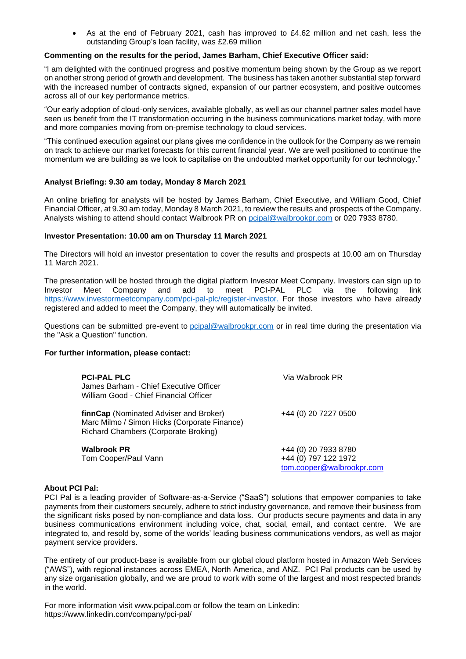• As at the end of February 2021, cash has improved to £4.62 million and net cash, less the outstanding Group's loan facility, was £2.69 million

## **Commenting on the results for the period, James Barham, Chief Executive Officer said:**

"I am delighted with the continued progress and positive momentum being shown by the Group as we report on another strong period of growth and development. The business has taken another substantial step forward with the increased number of contracts signed, expansion of our partner ecosystem, and positive outcomes across all of our key performance metrics.

"Our early adoption of cloud-only services, available globally, as well as our channel partner sales model have seen us benefit from the IT transformation occurring in the business communications market today, with more and more companies moving from on-premise technology to cloud services.

"This continued execution against our plans gives me confidence in the outlook for the Company as we remain on track to achieve our market forecasts for this current financial year. We are well positioned to continue the momentum we are building as we look to capitalise on the undoubted market opportunity for our technology."

# **Analyst Briefing: 9.30 am today, Monday 8 March 2021**

An online briefing for analysts will be hosted by James Barham, Chief Executive, and William Good, Chief Financial Officer, at 9.30 am today, Monday 8 March 2021, to review the results and prospects of the Company. Analysts wishing to attend should contact Walbrook PR on [pcipal@walbrookpr.com](mailto:pcipal@walbrookpr.com) or 020 7933 8780.

# **Investor Presentation: 10.00 am on Thursday 11 March 2021**

The Directors will hold an investor presentation to cover the results and prospects at 10.00 am on Thursday 11 March 2021.

The presentation will be hosted through the digital platform Investor Meet Company. Investors can sign up to Investor Meet Company and add to meet PCI-PAL PLC via the following link [https://www.investormeetcompany.com/pci-pal-plc/register-investor.](https://urldefense.proofpoint.com/v2/url?u=https-3A__www.investormeetcompany.com_pci-2Dpal-2Dplc_register-2Dinvestor&d=DwMGaQ&c=euGZstcaTDllvimEN8b7jXrwqOf-v5A_CdpgnVfiiMM&r=05PHl3GHdShYuaCii2fBRpoqaNr9B1d97X09daeosu0&m=2cbaZ6I4laLZbM7rmMgwZbEMeL2NX7hkjIpg7mqgo34&s=pwrBTMxZzny86eeBmluEYAAy3krXblozKaNUaPXNO7s&e=) For those investors who have already registered and added to meet the Company, they will automatically be invited.

Questions can be submitted pre-event to [pcipal@walbrookpr.com](mailto:pcipal@walbrookpr.com) or in real time during the presentation via the "Ask a Question" function.

### **For further information, please contact:**

| <b>PCI-PAL PLC</b><br>James Barham - Chief Executive Officer<br>William Good - Chief Financial Officer                         | Via Walbrook PR.                                                          |
|--------------------------------------------------------------------------------------------------------------------------------|---------------------------------------------------------------------------|
| finnCap (Nominated Adviser and Broker)<br>Marc Milmo / Simon Hicks (Corporate Finance)<br>Richard Chambers (Corporate Broking) | +44 (0) 20 7227 0500                                                      |
| <b>Walbrook PR</b><br>Tom Cooper/Paul Vann                                                                                     | +44 (0) 20 7933 8780<br>+44 (0) 797 122 1972<br>tom.cooper@walbrookpr.com |

### **About PCI Pal:**

PCI Pal is a leading provider of Software-as-a-Service ("SaaS") solutions that empower companies to take payments from their customers securely, adhere to strict industry governance, and remove their business from the significant risks posed by non-compliance and data loss. Our products secure payments and data in any business communications environment including voice, chat, social, email, and contact centre. We are integrated to, and resold by, some of the worlds' leading business communications vendors, as well as major payment service providers.

The entirety of our product-base is available from our global cloud platform hosted in Amazon Web Services ("AWS"), with regional instances across EMEA, North America, and ANZ. PCI Pal products can be used by any size organisation globally, and we are proud to work with some of the largest and most respected brands in the world.

For more information visit [www.pcipal.com](http://www.pcipal.com/) or follow the team on Linkedin: <https://www.linkedin.com/company/pci-pal/>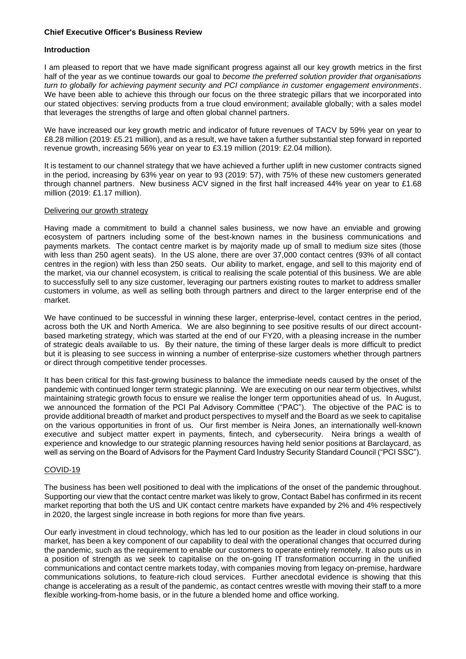## **Chief Executive Officer's Business Review**

# **Introduction**

I am pleased to report that we have made significant progress against all our key growth metrics in the first half of the year as we continue towards our goal to *become the preferred solution provider that organisations turn to globally for achieving payment security and PCI compliance in customer engagement environments*. We have been able to achieve this through our focus on the three strategic pillars that we incorporated into our stated objectives: serving products from a true cloud environment; available globally; with a sales model that leverages the strengths of large and often global channel partners.

We have increased our key growth metric and indicator of future revenues of TACV by 59% year on year to £8.28 million (2019: £5.21 million), and as a result, we have taken a further substantial step forward in reported revenue growth, increasing 56% year on year to £3.19 million (2019: £2.04 million).

It is testament to our channel strategy that we have achieved a further uplift in new customer contracts signed in the period, increasing by 63% year on year to 93 (2019: 57), with 75% of these new customers generated through channel partners. New business ACV signed in the first half increased 44% year on year to £1.68 million (2019: £1.17 million).

### Delivering our growth strategy

Having made a commitment to build a channel sales business, we now have an enviable and growing ecosystem of partners including some of the best-known names in the business communications and payments markets. The contact centre market is by majority made up of small to medium size sites (those with less than 250 agent seats). In the US alone, there are over 37,000 contact centres (93% of all contact centres in the region) with less than 250 seats. Our ability to market, engage, and sell to this majority end of the market, via our channel ecosystem, is critical to realising the scale potential of this business. We are able to successfully sell to any size customer, leveraging our partners existing routes to market to address smaller customers in volume, as well as selling both through partners and direct to the larger enterprise end of the market.

We have continued to be successful in winning these larger, enterprise-level, contact centres in the period, across both the UK and North America. We are also beginning to see positive results of our direct accountbased marketing strategy, which was started at the end of our FY20, with a pleasing increase in the number of strategic deals available to us. By their nature, the timing of these larger deals is more difficult to predict but it is pleasing to see success in winning a number of enterprise-size customers whether through partners or direct through competitive tender processes.

It has been critical for this fast-growing business to balance the immediate needs caused by the onset of the pandemic with continued longer term strategic planning. We are executing on our near term objectives, whilst maintaining strategic growth focus to ensure we realise the longer term opportunities ahead of us. In August, we announced the formation of the PCI Pal Advisory Committee ("PAC"). The objective of the PAC is to provide additional breadth of market and product perspectives to myself and the Board as we seek to capitalise on the various opportunities in front of us. Our first member is Neira Jones, an internationally well-known executive and subject matter expert in payments, fintech, and cybersecurity. Neira brings a wealth of experience and knowledge to our strategic planning resources having held senior positions at Barclaycard, as well as serving on the Board of Advisors for the Payment Card Industry Security Standard Council ("PCI SSC").

# COVID-19

The business has been well positioned to deal with the implications of the onset of the pandemic throughout. Supporting our view that the contact centre market was likely to grow, Contact Babel has confirmed in its recent market reporting that both the US and UK contact centre markets have expanded by 2% and 4% respectively in 2020, the largest single increase in both regions for more than five years.

Our early investment in cloud technology, which has led to our position as the leader in cloud solutions in our market, has been a key component of our capability to deal with the operational changes that occurred during the pandemic, such as the requirement to enable our customers to operate entirely remotely. It also puts us in a position of strength as we seek to capitalise on the on-going IT transformation occurring in the unified communications and contact centre markets today, with companies moving from legacy on-premise, hardware communications solutions, to feature-rich cloud services. Further anecdotal evidence is showing that this change is accelerating as a result of the pandemic, as contact centres wrestle with moving their staff to a more flexible working-from-home basis, or in the future a blended home and office working.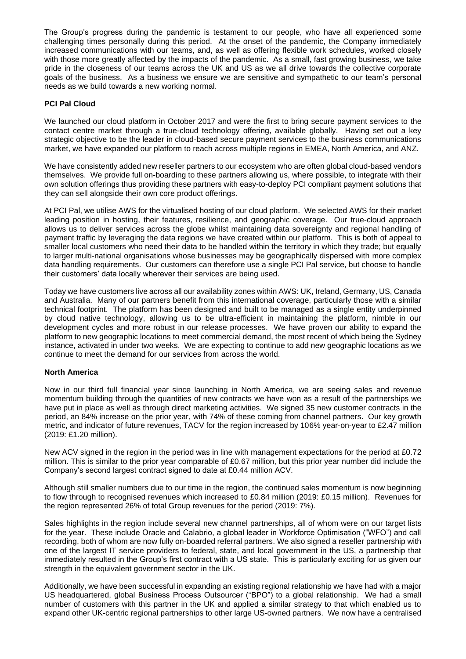The Group's progress during the pandemic is testament to our people, who have all experienced some challenging times personally during this period. At the onset of the pandemic, the Company immediately increased communications with our teams, and, as well as offering flexible work schedules, worked closely with those more greatly affected by the impacts of the pandemic. As a small, fast growing business, we take pride in the closeness of our teams across the UK and US as we all drive towards the collective corporate goals of the business. As a business we ensure we are sensitive and sympathetic to our team's personal needs as we build towards a new working normal.

# **PCI Pal Cloud**

We launched our cloud platform in October 2017 and were the first to bring secure payment services to the contact centre market through a true-cloud technology offering, available globally. Having set out a key strategic objective to be the leader in cloud-based secure payment services to the business communications market, we have expanded our platform to reach across multiple regions in EMEA, North America, and ANZ.

We have consistently added new reseller partners to our ecosystem who are often global cloud-based vendors themselves. We provide full on-boarding to these partners allowing us, where possible, to integrate with their own solution offerings thus providing these partners with easy-to-deploy PCI compliant payment solutions that they can sell alongside their own core product offerings.

At PCI Pal, we utilise AWS for the virtualised hosting of our cloud platform. We selected AWS for their market leading position in hosting, their features, resilience, and geographic coverage. Our true-cloud approach allows us to deliver services across the globe whilst maintaining data sovereignty and regional handling of payment traffic by leveraging the data regions we have created within our platform. This is both of appeal to smaller local customers who need their data to be handled within the territory in which they trade; but equally to larger multi-national organisations whose businesses may be geographically dispersed with more complex data handling requirements. Our customers can therefore use a single PCI Pal service, but choose to handle their customers' data locally wherever their services are being used.

Today we have customers live across all our availability zones within AWS: UK, Ireland, Germany, US, Canada and Australia. Many of our partners benefit from this international coverage, particularly those with a similar technical footprint. The platform has been designed and built to be managed as a single entity underpinned by cloud native technology, allowing us to be ultra-efficient in maintaining the platform, nimble in our development cycles and more robust in our release processes. We have proven our ability to expand the platform to new geographic locations to meet commercial demand, the most recent of which being the Sydney instance, activated in under two weeks. We are expecting to continue to add new geographic locations as we continue to meet the demand for our services from across the world.

# **North America**

Now in our third full financial year since launching in North America, we are seeing sales and revenue momentum building through the quantities of new contracts we have won as a result of the partnerships we have put in place as well as through direct marketing activities. We signed 35 new customer contracts in the period, an 84% increase on the prior year, with 74% of these coming from channel partners. Our key growth metric, and indicator of future revenues, TACV for the region increased by 106% year-on-year to £2.47 million (2019: £1.20 million).

New ACV signed in the region in the period was in line with management expectations for the period at £0.72 million. This is similar to the prior year comparable of £0.67 million, but this prior year number did include the Company's second largest contract signed to date at £0.44 million ACV.

Although still smaller numbers due to our time in the region, the continued sales momentum is now beginning to flow through to recognised revenues which increased to £0.84 million (2019: £0.15 million). Revenues for the region represented 26% of total Group revenues for the period (2019: 7%).

Sales highlights in the region include several new channel partnerships, all of whom were on our target lists for the year. These include Oracle and Calabrio, a global leader in Workforce Optimisation ("WFO") and call recording, both of whom are now fully on-boarded referral partners. We also signed a reseller partnership with one of the largest IT service providers to federal, state, and local government in the US, a partnership that immediately resulted in the Group's first contract with a US state. This is particularly exciting for us given our strength in the equivalent government sector in the UK.

Additionally, we have been successful in expanding an existing regional relationship we have had with a major US headquartered, global Business Process Outsourcer ("BPO") to a global relationship. We had a small number of customers with this partner in the UK and applied a similar strategy to that which enabled us to expand other UK-centric regional partnerships to other large US-owned partners. We now have a centralised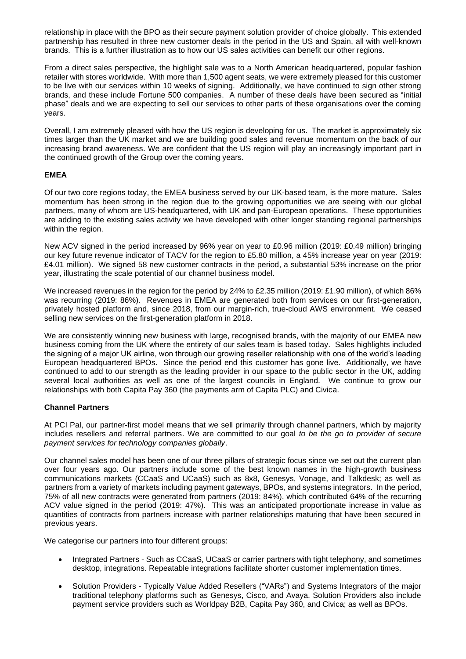relationship in place with the BPO as their secure payment solution provider of choice globally. This extended partnership has resulted in three new customer deals in the period in the US and Spain, all with well-known brands. This is a further illustration as to how our US sales activities can benefit our other regions.

From a direct sales perspective, the highlight sale was to a North American headquartered, popular fashion retailer with stores worldwide. With more than 1,500 agent seats, we were extremely pleased for this customer to be live with our services within 10 weeks of signing. Additionally, we have continued to sign other strong brands, and these include Fortune 500 companies. A number of these deals have been secured as "initial phase" deals and we are expecting to sell our services to other parts of these organisations over the coming years.

Overall, I am extremely pleased with how the US region is developing for us. The market is approximately six times larger than the UK market and we are building good sales and revenue momentum on the back of our increasing brand awareness. We are confident that the US region will play an increasingly important part in the continued growth of the Group over the coming years.

# **EMEA**

Of our two core regions today, the EMEA business served by our UK-based team, is the more mature. Sales momentum has been strong in the region due to the growing opportunities we are seeing with our global partners, many of whom are US-headquartered, with UK and pan-European operations. These opportunities are adding to the existing sales activity we have developed with other longer standing regional partnerships within the region.

New ACV signed in the period increased by 96% year on year to £0.96 million (2019: £0.49 million) bringing our key future revenue indicator of TACV for the region to £5.80 million, a 45% increase year on year (2019: £4.01 million). We signed 58 new customer contracts in the period, a substantial 53% increase on the prior year, illustrating the scale potential of our channel business model.

We increased revenues in the region for the period by 24% to £2.35 million (2019: £1.90 million), of which 86% was recurring (2019: 86%). Revenues in EMEA are generated both from services on our first-generation, privately hosted platform and, since 2018, from our margin-rich, true-cloud AWS environment. We ceased selling new services on the first-generation platform in 2018.

We are consistently winning new business with large, recognised brands, with the majority of our EMEA new business coming from the UK where the entirety of our sales team is based today. Sales highlights included the signing of a major UK airline, won through our growing reseller relationship with one of the world's leading European headquartered BPOs. Since the period end this customer has gone live. Additionally, we have continued to add to our strength as the leading provider in our space to the public sector in the UK, adding several local authorities as well as one of the largest councils in England. We continue to grow our relationships with both Capita Pay 360 (the payments arm of Capita PLC) and Civica.

# **Channel Partners**

At PCI Pal, our partner-first model means that we sell primarily through channel partners, which by majority includes resellers and referral partners. We are committed to our goal *to be the go to provider of secure payment services for technology companies globally*.

Our channel sales model has been one of our three pillars of strategic focus since we set out the current plan over four years ago. Our partners include some of the best known names in the high-growth business communications markets (CCaaS and UCaaS) such as 8x8, Genesys, Vonage, and Talkdesk; as well as partners from a variety of markets including payment gateways, BPOs, and systems integrators. In the period, 75% of all new contracts were generated from partners (2019: 84%), which contributed 64% of the recurring ACV value signed in the period (2019: 47%). This was an anticipated proportionate increase in value as quantities of contracts from partners increase with partner relationships maturing that have been secured in previous years.

We categorise our partners into four different groups:

- Integrated Partners Such as CCaaS, UCaaS or carrier partners with tight telephony, and sometimes desktop, integrations. Repeatable integrations facilitate shorter customer implementation times.
- Solution Providers Typically Value Added Resellers ("VARs") and Systems Integrators of the major traditional telephony platforms such as Genesys, Cisco, and Avaya. Solution Providers also include payment service providers such as Worldpay B2B, Capita Pay 360, and Civica; as well as BPOs.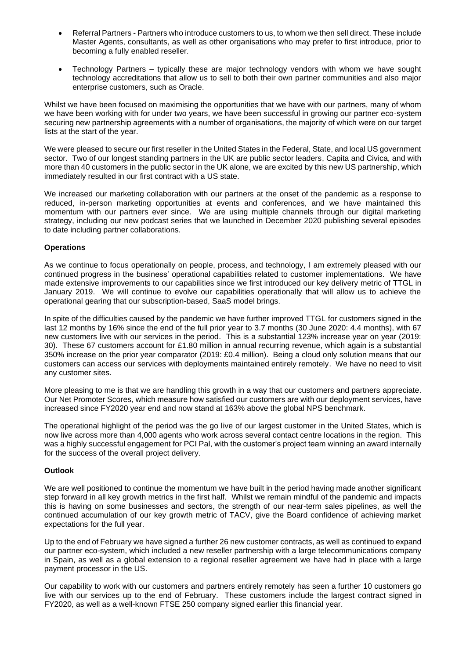- Referral Partners Partners who introduce customers to us, to whom we then sell direct. These include Master Agents, consultants, as well as other organisations who may prefer to first introduce, prior to becoming a fully enabled reseller.
- Technology Partners typically these are major technology vendors with whom we have sought technology accreditations that allow us to sell to both their own partner communities and also major enterprise customers, such as Oracle.

Whilst we have been focused on maximising the opportunities that we have with our partners, many of whom we have been working with for under two years, we have been successful in growing our partner eco-system securing new partnership agreements with a number of organisations, the majority of which were on our target lists at the start of the year.

We were pleased to secure our first reseller in the United States in the Federal, State, and local US government sector. Two of our longest standing partners in the UK are public sector leaders, Capita and Civica, and with more than 40 customers in the public sector in the UK alone, we are excited by this new US partnership, which immediately resulted in our first contract with a US state.

We increased our marketing collaboration with our partners at the onset of the pandemic as a response to reduced, in-person marketing opportunities at events and conferences, and we have maintained this momentum with our partners ever since. We are using multiple channels through our digital marketing strategy, including our new podcast series that we launched in December 2020 publishing several episodes to date including partner collaborations.

# **Operations**

As we continue to focus operationally on people, process, and technology, I am extremely pleased with our continued progress in the business' operational capabilities related to customer implementations. We have made extensive improvements to our capabilities since we first introduced our key delivery metric of TTGL in January 2019. We will continue to evolve our capabilities operationally that will allow us to achieve the operational gearing that our subscription-based, SaaS model brings.

In spite of the difficulties caused by the pandemic we have further improved TTGL for customers signed in the last 12 months by 16% since the end of the full prior year to 3.7 months (30 June 2020: 4.4 months), with 67 new customers live with our services in the period. This is a substantial 123% increase year on year (2019: 30). These 67 customers account for £1.80 million in annual recurring revenue, which again is a substantial 350% increase on the prior year comparator (2019: £0.4 million). Being a cloud only solution means that our customers can access our services with deployments maintained entirely remotely. We have no need to visit any customer sites.

More pleasing to me is that we are handling this growth in a way that our customers and partners appreciate. Our Net Promoter Scores, which measure how satisfied our customers are with our deployment services, have increased since FY2020 year end and now stand at 163% above the global NPS benchmark.

The operational highlight of the period was the go live of our largest customer in the United States, which is now live across more than 4,000 agents who work across several contact centre locations in the region. This was a highly successful engagement for PCI Pal, with the customer's project team winning an award internally for the success of the overall project delivery.

### **Outlook**

We are well positioned to continue the momentum we have built in the period having made another significant step forward in all key growth metrics in the first half. Whilst we remain mindful of the pandemic and impacts this is having on some businesses and sectors, the strength of our near-term sales pipelines, as well the continued accumulation of our key growth metric of TACV, give the Board confidence of achieving market expectations for the full year.

Up to the end of February we have signed a further 26 new customer contracts, as well as continued to expand our partner eco-system, which included a new reseller partnership with a large telecommunications company in Spain, as well as a global extension to a regional reseller agreement we have had in place with a large payment processor in the US.

Our capability to work with our customers and partners entirely remotely has seen a further 10 customers go live with our services up to the end of February. These customers include the largest contract signed in FY2020, as well as a well-known FTSE 250 company signed earlier this financial year.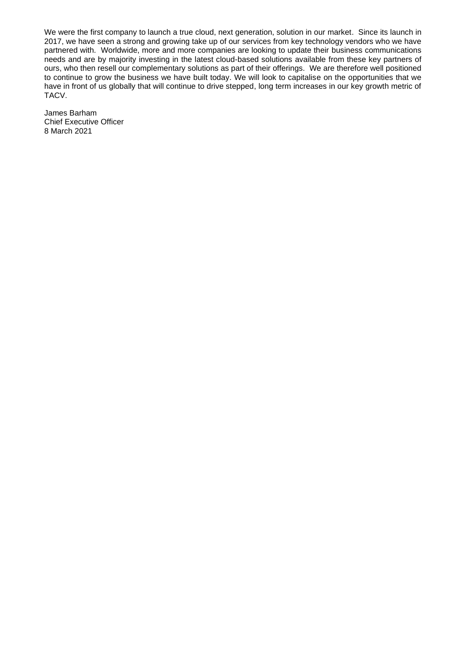We were the first company to launch a true cloud, next generation, solution in our market. Since its launch in 2017, we have seen a strong and growing take up of our services from key technology vendors who we have partnered with. Worldwide, more and more companies are looking to update their business communications needs and are by majority investing in the latest cloud-based solutions available from these key partners of ours, who then resell our complementary solutions as part of their offerings. We are therefore well positioned to continue to grow the business we have built today. We will look to capitalise on the opportunities that we have in front of us globally that will continue to drive stepped, long term increases in our key growth metric of TACV.

James Barham Chief Executive Officer 8 March 2021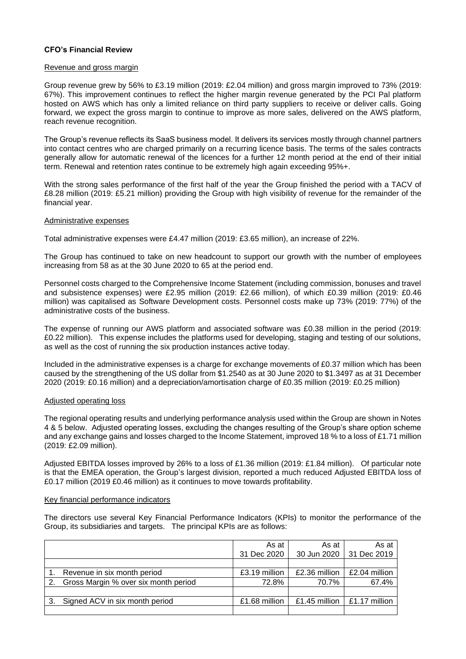## **CFO's Financial Review**

#### Revenue and gross margin

Group revenue grew by 56% to £3.19 million (2019: £2.04 million) and gross margin improved to 73% (2019: 67%). This improvement continues to reflect the higher margin revenue generated by the PCI Pal platform hosted on AWS which has only a limited reliance on third party suppliers to receive or deliver calls. Going forward, we expect the gross margin to continue to improve as more sales, delivered on the AWS platform, reach revenue recognition.

The Group's revenue reflects its SaaS business model. It delivers its services mostly through channel partners into contact centres who are charged primarily on a recurring licence basis. The terms of the sales contracts generally allow for automatic renewal of the licences for a further 12 month period at the end of their initial term. Renewal and retention rates continue to be extremely high again exceeding 95%+.

With the strong sales performance of the first half of the year the Group finished the period with a TACV of £8.28 million (2019: £5.21 million) providing the Group with high visibility of revenue for the remainder of the financial year.

#### Administrative expenses

Total administrative expenses were £4.47 million (2019: £3.65 million), an increase of 22%.

The Group has continued to take on new headcount to support our growth with the number of employees increasing from 58 as at the 30 June 2020 to 65 at the period end.

Personnel costs charged to the Comprehensive Income Statement (including commission, bonuses and travel and subsistence expenses) were £2.95 million (2019: £2.66 million), of which £0.39 million (2019: £0.46 million) was capitalised as Software Development costs. Personnel costs make up 73% (2019: 77%) of the administrative costs of the business.

The expense of running our AWS platform and associated software was £0.38 million in the period (2019: £0.22 million). This expense includes the platforms used for developing, staging and testing of our solutions, as well as the cost of running the six production instances active today.

Included in the administrative expenses is a charge for exchange movements of £0.37 million which has been caused by the strengthening of the US dollar from \$1.2540 as at 30 June 2020 to \$1.3497 as at 31 December 2020 (2019: £0.16 million) and a depreciation/amortisation charge of £0.35 million (2019: £0.25 million)

### Adjusted operating loss

The regional operating results and underlying performance analysis used within the Group are shown in Notes 4 & 5 below. Adjusted operating losses, excluding the changes resulting of the Group's share option scheme and any exchange gains and losses charged to the Income Statement, improved 18 % to a loss of £1.71 million (2019: £2.09 million).

Adjusted EBITDA losses improved by 26% to a loss of £1.36 million (2019: £1.84 million). Of particular note is that the EMEA operation, the Group's largest division, reported a much reduced Adjusted EBITDA loss of £0.17 million (2019 £0.46 million) as it continues to move towards profitability.

#### Key financial performance indicators

The directors use several Key Financial Performance Indicators (KPIs) to monitor the performance of the Group, its subsidiaries and targets. The principal KPIs are as follows:

|    |                                      | As at<br>31 Dec 2020 | As at<br>30 Jun 2020 | As at<br>31 Dec 2019 |
|----|--------------------------------------|----------------------|----------------------|----------------------|
|    |                                      |                      |                      |                      |
|    | Revenue in six month period          | £3.19 million        | £2.36 million        | £2.04 million        |
| 2. | Gross Margin % over six month period | 72.8%                | 70.7%                | 67.4%                |
|    |                                      |                      |                      |                      |
| 3. | Signed ACV in six month period       | £1.68 million        | £1.45 million        | £1.17 million        |
|    |                                      |                      |                      |                      |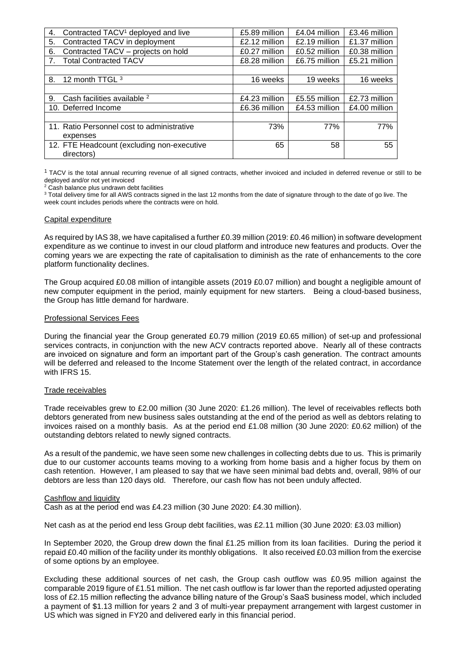| 4. | Contracted TACV <sup>1</sup> deployed and live | £5.89 million | £4.04 million | £3.46 million |
|----|------------------------------------------------|---------------|---------------|---------------|
| 5. | Contracted TACV in deployment                  | £2.12 million | £2.19 million | £1.37 million |
| 6. | Contracted TACV - projects on hold             | £0.27 million | £0.52 million | £0.38 million |
|    | <b>Total Contracted TACV</b>                   | £8.28 million | £6.75 million | £5.21 million |
|    |                                                |               |               |               |
| 8. | 12 month TTGL 3                                | 16 weeks      | 19 weeks      | 16 weeks      |
|    |                                                |               |               |               |
| 9. | Cash facilities available <sup>2</sup>         | £4.23 million | £5.55 million | £2.73 million |
|    | 10. Deferred Income                            | £6.36 million | £4.53 million | £4.00 million |
|    |                                                |               |               |               |
|    | 11. Ratio Personnel cost to administrative     | 73%           | 77%           | 77%           |
|    | expenses                                       |               |               |               |
|    | 12. FTE Headcount (excluding non-executive     | 65            | 58            | 55            |
|    | directors)                                     |               |               |               |

<sup>1</sup>TACV is the total annual recurring revenue of all signed contracts, whether invoiced and included in deferred revenue or still to be deployed and/or not yet invoiced

<sup>2</sup> Cash balance plus undrawn debt facilities

<sup>3</sup> Total delivery time for all AWS contracts signed in the last 12 months from the date of signature through to the date of go live. The week count includes periods where the contracts were on hold.

#### Capital expenditure

As required by IAS 38, we have capitalised a further £0.39 million (2019: £0.46 million) in software development expenditure as we continue to invest in our cloud platform and introduce new features and products. Over the coming years we are expecting the rate of capitalisation to diminish as the rate of enhancements to the core platform functionality declines.

The Group acquired £0.08 million of intangible assets (2019 £0.07 million) and bought a negligible amount of new computer equipment in the period, mainly equipment for new starters. Being a cloud-based business, the Group has little demand for hardware.

### Professional Services Fees

During the financial year the Group generated £0.79 million (2019 £0.65 million) of set-up and professional services contracts, in conjunction with the new ACV contracts reported above. Nearly all of these contracts are invoiced on signature and form an important part of the Group's cash generation. The contract amounts will be deferred and released to the Income Statement over the length of the related contract, in accordance with IFRS 15.

### Trade receivables

Trade receivables grew to £2.00 million (30 June 2020: £1.26 million). The level of receivables reflects both debtors generated from new business sales outstanding at the end of the period as well as debtors relating to invoices raised on a monthly basis. As at the period end £1.08 million (30 June 2020: £0.62 million) of the outstanding debtors related to newly signed contracts.

As a result of the pandemic, we have seen some new challenges in collecting debts due to us. This is primarily due to our customer accounts teams moving to a working from home basis and a higher focus by them on cash retention. However, I am pleased to say that we have seen minimal bad debts and, overall, 98% of our debtors are less than 120 days old. Therefore, our cash flow has not been unduly affected.

#### Cashflow and liquidity

Cash as at the period end was £4.23 million (30 June 2020: £4.30 million).

Net cash as at the period end less Group debt facilities, was £2.11 million (30 June 2020: £3.03 million)

In September 2020, the Group drew down the final £1.25 million from its loan facilities. During the period it repaid £0.40 million of the facility under its monthly obligations. It also received £0.03 million from the exercise of some options by an employee.

Excluding these additional sources of net cash, the Group cash outflow was £0.95 million against the comparable 2019 figure of £1.51 million. The net cash outflow is far lower than the reported adjusted operating loss of £2.15 million reflecting the advance billing nature of the Group's SaaS business model, which included a payment of \$1.13 million for years 2 and 3 of multi-year prepayment arrangement with largest customer in US which was signed in FY20 and delivered early in this financial period.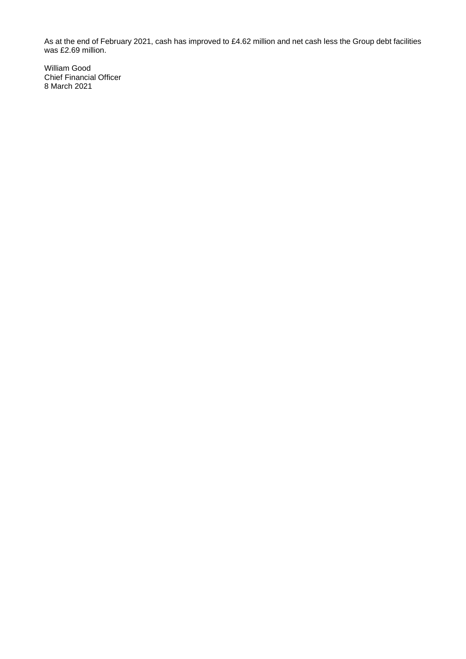As at the end of February 2021, cash has improved to £4.62 million and net cash less the Group debt facilities was £2.69 million.

William Good Chief Financial Officer 8 March 2021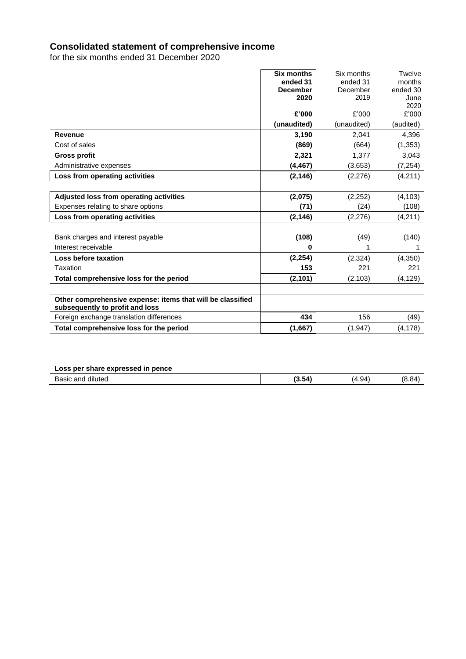# **Consolidated statement of comprehensive income**

for the six months ended 31 December 2020

| <b>Six months</b>                                          | Six months  | Twelve    |
|------------------------------------------------------------|-------------|-----------|
| ended 31                                                   | ended 31    | months    |
| <b>December</b>                                            | December    | ended 30  |
| 2020                                                       | 2019        | June      |
|                                                            |             | 2020      |
| £'000                                                      | £'000       | £'000     |
| (unaudited)                                                | (unaudited) | (audited) |
| 3,190<br><b>Revenue</b>                                    | 2,041       | 4,396     |
| (869)<br>Cost of sales                                     | (664)       | (1, 353)  |
| <b>Gross profit</b><br>2,321                               | 1.377       | 3,043     |
| (4, 467)<br>Administrative expenses                        | (3,653)     | (7, 254)  |
| Loss from operating activities<br>(2, 146)                 | (2,276)     | (4,211)   |
|                                                            |             |           |
| (2,075)<br>Adjusted loss from operating activities         | (2,252)     | (4, 103)  |
| (71)<br>Expenses relating to share options                 | (24)        | (108)     |
| Loss from operating activities<br>(2, 146)                 | (2, 276)    | (4, 211)  |
|                                                            |             |           |
| (108)<br>Bank charges and interest payable                 | (49)        | (140)     |
| Interest receivable<br>0                                   |             | 1         |
| (2, 254)<br>Loss before taxation                           | (2,324)     | (4,350)   |
| Taxation<br>153                                            | 221         | 221       |
| Total comprehensive loss for the period<br>(2, 101)        | (2, 103)    | (4, 129)  |
|                                                            |             |           |
| Other comprehensive expense: items that will be classified |             |           |
| subsequently to profit and loss                            |             |           |
| 434<br>Foreign exchange translation differences            | 156         | (49)      |
| Total comprehensive loss for the period<br>(1,667)         | (1, 947)    | (4, 178)  |

# **Loss per share expressed in pence**

| $\sim$ $\sim$ $\sim$<br>75K<br>าแเ<br>ເບບ<br>-<br>. | $ -$<br>.54<br>э. | $\lambda$<br>$-1$<br>. .<br>__ | RΔ<br>. . |
|-----------------------------------------------------|-------------------|--------------------------------|-----------|
|                                                     |                   |                                |           |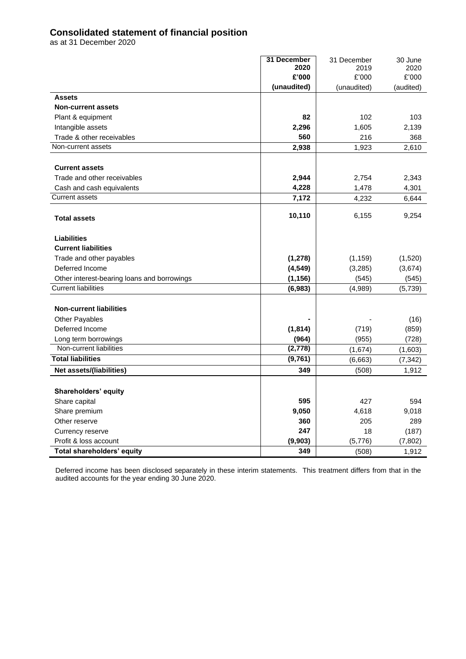# **Consolidated statement of financial position**

as at 31 December 2020

|                                                    | 31 December    | 31 December | 30 June   |
|----------------------------------------------------|----------------|-------------|-----------|
|                                                    | 2020           | 2019        | 2020      |
|                                                    | £'000          | £'000       | £'000     |
|                                                    | (unaudited)    | (unaudited) | (audited) |
| <b>Assets</b>                                      |                |             |           |
| <b>Non-current assets</b>                          |                |             |           |
| Plant & equipment                                  | 82             | 102         | 103       |
| Intangible assets                                  | 2,296          | 1,605       | 2,139     |
| Trade & other receivables                          | 560            | 216         | 368       |
| Non-current assets                                 | 2,938          | 1,923       | 2,610     |
| <b>Current assets</b>                              |                |             |           |
|                                                    |                | 2,754       |           |
| Trade and other receivables                        | 2,944<br>4,228 |             | 2,343     |
| Cash and cash equivalents<br><b>Current assets</b> |                | 1,478       | 4,301     |
|                                                    | 7,172          | 4,232       | 6,644     |
| <b>Total assets</b>                                | 10,110         | 6,155       | 9,254     |
|                                                    |                |             |           |
| <b>Liabilities</b>                                 |                |             |           |
| <b>Current liabilities</b>                         |                |             |           |
| Trade and other payables                           | (1, 278)       | (1, 159)    | (1,520)   |
| Deferred Income                                    | (4, 549)       | (3, 285)    | (3,674)   |
| Other interest-bearing loans and borrowings        | (1, 156)       | (545)       | (545)     |
| <b>Current liabilities</b>                         | (6,983)        | (4,989)     | (5,739)   |
| <b>Non-current liabilities</b>                     |                |             |           |
| Other Payables                                     |                |             | (16)      |
| Deferred Income                                    | (1, 814)       | (719)       | (859)     |
| Long term borrowings                               | (964)          | (955)       | (728)     |
| Non-current liabilities                            | (2,778)        | (1,674)     | (1,603)   |
| <b>Total liabilities</b>                           | (9,761)        | (6,663)     | (7, 342)  |
| <b>Net assets/(liabilities)</b>                    | 349            | (508)       | 1,912     |
|                                                    |                |             |           |
| Shareholders' equity                               |                |             |           |
| Share capital                                      | 595            | 427         | 594       |
| Share premium                                      | 9,050          | 4,618       | 9,018     |
| Other reserve                                      | 360            | 205         | 289       |
| Currency reserve                                   | 247            | 18          | (187)     |
| Profit & loss account                              | (9,903)        | (5,776)     | (7, 802)  |
| <b>Total shareholders' equity</b>                  | 349            | (508)       | 1,912     |

Deferred income has been disclosed separately in these interim statements. This treatment differs from that in the audited accounts for the year ending 30 June 2020.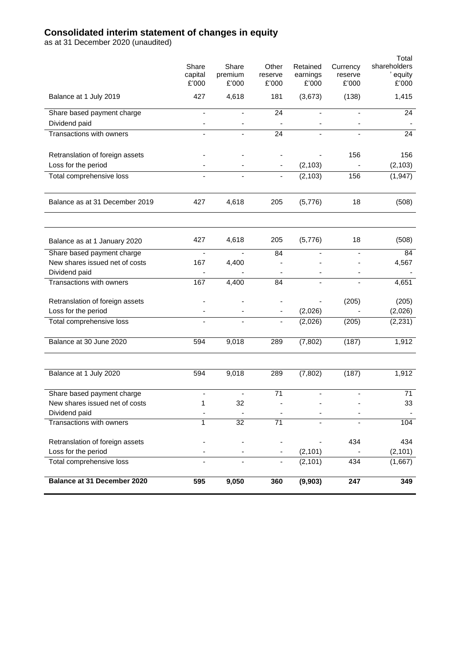# **Consolidated interim statement of changes in equity**

as at 31 December 2020 (unaudited)

|                                 | Share                    | Share   | Other                    | Retained                 | Currency                 | Total<br>shareholders |
|---------------------------------|--------------------------|---------|--------------------------|--------------------------|--------------------------|-----------------------|
|                                 | capital                  | premium | reserve                  | earnings                 | reserve                  | equity                |
|                                 | £'000                    | £'000   | £'000                    | £'000                    | £'000                    | £'000                 |
| Balance at 1 July 2019          | 427                      | 4,618   | 181                      | (3,673)                  | (138)                    | 1,415                 |
| Share based payment charge      | $\overline{\phantom{a}}$ |         | 24                       | $\overline{\phantom{m}}$ | $\overline{\phantom{a}}$ | 24                    |
| Dividend paid                   | $\overline{\phantom{0}}$ |         |                          |                          |                          |                       |
| Transactions with owners        |                          |         | 24                       |                          |                          | 24                    |
| Retranslation of foreign assets |                          |         |                          |                          | 156                      | 156                   |
| Loss for the period             |                          |         |                          | (2, 103)                 |                          | (2, 103)              |
| Total comprehensive loss        |                          |         |                          | (2, 103)                 | 156                      | (1, 947)              |
| Balance as at 31 December 2019  | 427                      | 4,618   | 205                      | (5,776)                  | 18                       | (508)                 |
| Balance as at 1 January 2020    | 427                      | 4,618   | 205                      | (5,776)                  | 18                       | (508)                 |
| Share based payment charge      |                          |         | 84                       |                          | $\blacksquare$           | 84                    |
| New shares issued net of costs  | 167                      | 4,400   |                          |                          |                          | 4,567                 |
| Dividend paid                   |                          |         |                          |                          | $\overline{\phantom{a}}$ |                       |
| Transactions with owners        | 167                      | 4,400   | 84                       |                          |                          | 4,651                 |
| Retranslation of foreign assets |                          |         |                          |                          | (205)                    | (205)                 |
| Loss for the period             | $\blacksquare$           |         | $\overline{\phantom{a}}$ | (2,026)                  |                          | (2,026)               |
| Total comprehensive loss        |                          |         |                          | (2,026)                  | (205)                    | (2, 231)              |
| Balance at 30 June 2020         | 594                      | 9,018   | 289                      | (7, 802)                 | (187)                    | 1,912                 |
|                                 |                          |         |                          |                          |                          |                       |
| Balance at 1 July 2020          | 594                      | 9,018   | 289                      | (7, 802)                 | (187)                    | 1,912                 |
| Share based payment charge      |                          |         | 71                       |                          |                          | 71                    |
| New shares issued net of costs  | 1                        | 32      |                          |                          |                          | 33                    |
| Dividend paid                   |                          |         |                          |                          |                          |                       |
| Transactions with owners        | 1                        | 32      | 71                       |                          |                          | 104                   |
| Retranslation of foreign assets |                          |         |                          |                          | 434                      | 434                   |
| Loss for the period             |                          |         |                          | (2, 101)                 |                          | (2, 101)              |
| Total comprehensive loss        |                          |         |                          | (2, 101)                 | 434                      | (1,667)               |
| Balance at 31 December 2020     | 595                      | 9,050   | 360                      | (9,903)                  | 247                      | 349                   |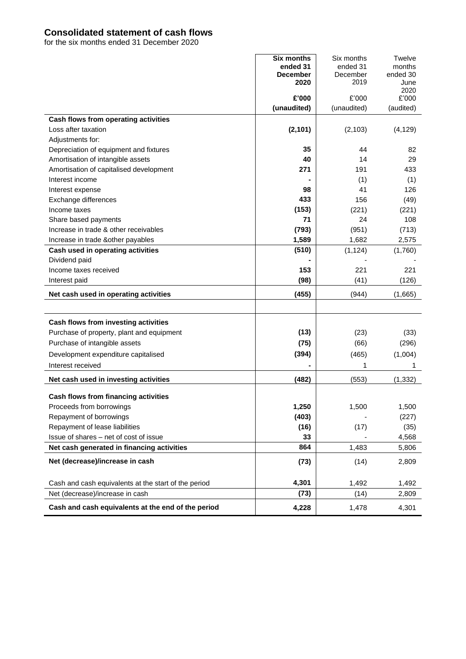# **Consolidated statement of cash flows**

for the six months ended 31 December 2020

|                                                      | <b>Six months</b>       | Six months       | <b>Twelve</b>    |
|------------------------------------------------------|-------------------------|------------------|------------------|
|                                                      | ended 31                | ended 31         | months           |
|                                                      | <b>December</b><br>2020 | December<br>2019 | ended 30<br>June |
|                                                      |                         |                  | 2020             |
|                                                      | £'000                   | £'000            | £'000            |
|                                                      | (unaudited)             | (unaudited)      | (audited)        |
| Cash flows from operating activities                 |                         |                  |                  |
| Loss after taxation                                  | (2, 101)                | (2, 103)         | (4, 129)         |
| Adjustments for:                                     |                         |                  |                  |
| Depreciation of equipment and fixtures               | 35                      | 44               | 82               |
| Amortisation of intangible assets                    | 40                      | 14               | 29               |
| Amortisation of capitalised development              | 271                     | 191              | 433              |
| Interest income                                      |                         | (1)              | (1)              |
| Interest expense                                     | 98                      | 41               | 126              |
| Exchange differences                                 | 433                     | 156              | (49)             |
| Income taxes                                         | (153)                   | (221)            | (221)            |
| Share based payments                                 | 71                      | 24               | 108              |
| Increase in trade & other receivables                | (793)                   | (951)            | (713)            |
| Increase in trade & other payables                   | 1,589                   | 1,682            | 2,575            |
| Cash used in operating activities                    | (510)                   | (1, 124)         | (1,760)          |
| Dividend paid                                        |                         |                  |                  |
| Income taxes received                                | 153                     | 221              | 221              |
| Interest paid                                        | (98)                    | (41)             | (126)            |
| Net cash used in operating activities                | (455)                   | (944)            | (1,665)          |
|                                                      |                         |                  |                  |
| Cash flows from investing activities                 |                         |                  |                  |
| Purchase of property, plant and equipment            | (13)                    | (23)             | (33)             |
| Purchase of intangible assets                        | (75)                    | (66)             | (296)            |
| Development expenditure capitalised                  | (394)                   | (465)            | (1,004)          |
| Interest received                                    |                         | 1                | 1                |
| Net cash used in investing activities                | (482)                   | (553)            | (1, 332)         |
|                                                      |                         |                  |                  |
| Cash flows from financing activities                 |                         |                  |                  |
| Proceeds from borrowings                             | 1,250                   | 1,500            | 1,500            |
| Repayment of borrowings                              | (403)                   |                  | (227)            |
| Repayment of lease liabilities                       | (16)                    | (17)             | (35)             |
| Issue of shares - net of cost of issue               | 33                      |                  | 4,568            |
| Net cash generated in financing activities           | 864                     | 1,483            | 5,806            |
| Net (decrease)/increase in cash                      | (73)                    | (14)             | 2,809            |
|                                                      | 4,301                   |                  |                  |
| Cash and cash equivalents at the start of the period |                         | 1,492            | 1,492            |
| Net (decrease)/increase in cash                      | (73)                    | (14)             | 2,809            |
| Cash and cash equivalents at the end of the period   | 4,228                   | 1,478            | 4,301            |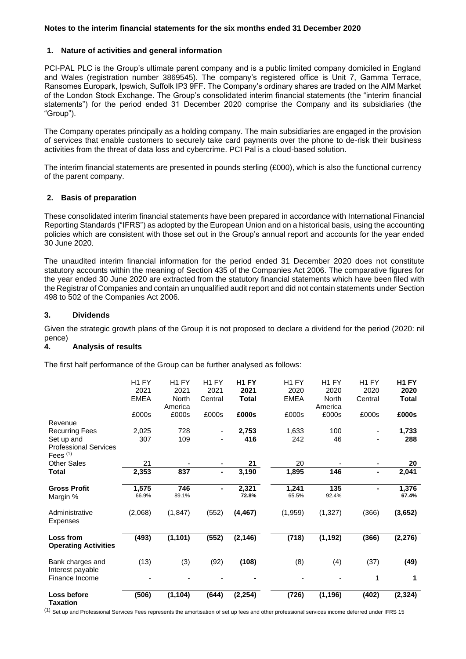### **Notes to the interim financial statements for the six months ended 31 December 2020**

## **1. Nature of activities and general information**

PCI-PAL PLC is the Group's ultimate parent company and is a public limited company domiciled in England and Wales (registration number 3869545). The company's registered office is Unit 7, Gamma Terrace, Ransomes Europark, Ipswich, Suffolk IP3 9FF. The Company's ordinary shares are traded on the AIM Market of the London Stock Exchange. The Group's consolidated interim financial statements (the "interim financial statements") for the period ended 31 December 2020 comprise the Company and its subsidiaries (the "Group").

The Company operates principally as a holding company. The main subsidiaries are engaged in the provision of services that enable customers to securely take card payments over the phone to de-risk their business activities from the threat of data loss and cybercrime. PCI Pal is a cloud-based solution.

The interim financial statements are presented in pounds sterling (£000), which is also the functional currency of the parent company.

# **2. Basis of preparation**

These consolidated interim financial statements have been prepared in accordance with International Financial Reporting Standards ("IFRS") as adopted by the European Union and on a historical basis, using the accounting policies which are consistent with those set out in the Group's annual report and accounts for the year ended 30 June 2020.

The unaudited interim financial information for the period ended 31 December 2020 does not constitute statutory accounts within the meaning of Section 435 of the Companies Act 2006. The comparative figures for the year ended 30 June 2020 are extracted from the statutory financial statements which have been filed with the Registrar of Companies and contain an unqualified audit report and did not contain statements under Section 498 to 502 of the Companies Act 2006.

#### **3. Dividends**

Given the strategic growth plans of the Group it is not proposed to declare a dividend for the period (2020: nil pence)

# **4. Analysis of results**

The first half performance of the Group can be further analysed as follows:

| Loss before<br>Taxation                         | (506)             | (1, 104)          | (644)             | (2, 254)          | (726)             | (1, 196)          | (402)             | (2, 324)          |
|-------------------------------------------------|-------------------|-------------------|-------------------|-------------------|-------------------|-------------------|-------------------|-------------------|
| Interest payable<br>Finance Income              |                   |                   |                   |                   |                   |                   | 1                 | 1                 |
| Bank charges and                                | (13)              | (3)               | (92)              | (108)             | (8)               | (4)               | (37)              | (49)              |
| <b>Loss from</b><br><b>Operating Activities</b> | (493)             | (1, 101)          | (552)             | (2, 146)          | (718)             | (1, 192)          | (366)             | (2, 276)          |
|                                                 |                   |                   |                   |                   |                   |                   |                   |                   |
| Administrative<br><b>Expenses</b>               | (2,068)           | (1, 847)          | (552)             | (4, 467)          | (1,959)           | (1, 327)          | (366)             | (3,652)           |
| Margin %                                        | 66.9%             | 89.1%             |                   | 72.8%             | 65.5%             | 92.4%             |                   | 67.4%             |
| <b>Gross Profit</b>                             | 1,575             | 746               |                   | 2,321             | 1,241             | 135               | Ξ.                | 1,376             |
| Total                                           | 2,353             | 837               | $\blacksquare$    | 3,190             | 1,895             | 146               | Ξ.                | 2,041             |
| Fees <sup>(1)</sup><br><b>Other Sales</b>       | 21                |                   |                   | 21                | 20                |                   |                   | 20                |
| <b>Professional Services</b>                    |                   |                   |                   |                   |                   |                   |                   |                   |
| Set up and                                      | 307               | 109               |                   | 416               | 242               | 46                |                   | 288               |
| Revenue<br><b>Recurring Fees</b>                | 2,025             | 728               |                   | 2,753             | 1,633             | 100               | ۰                 | 1,733             |
|                                                 | £000s             | £000s             | £000s             | £000s             | £000s             | £000s             | £000s             | £000s             |
|                                                 | <b>EMEA</b>       | North<br>America  | Central           | Total             | <b>EMEA</b>       | North<br>America  | Central           | <b>Total</b>      |
|                                                 | 2021              | 2021              | 2021              | 2021              | 2020              | 2020              | 2020              | 2020              |
|                                                 | H <sub>1</sub> FY | H <sub>1</sub> FY | H <sub>1</sub> FY | H <sub>1</sub> FY | H <sub>1</sub> FY | H <sub>1</sub> FY | H <sub>1</sub> FY | H <sub>1</sub> FY |

(1) Set up and Professional Services Fees represents the amortisation of set up fees and other professional services income deferred under IFRS 15